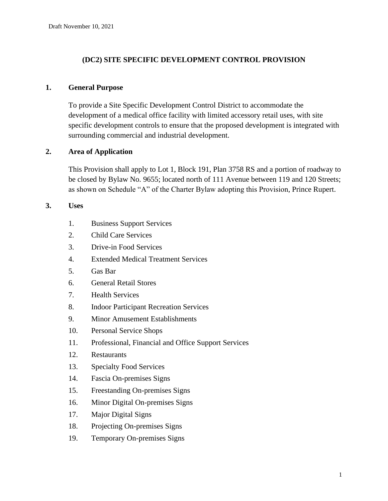# **(DC2) SITE SPECIFIC DEVELOPMENT CONTROL PROVISION**

#### **1. General Purpose**

To provide a Site Specific Development Control District to accommodate the development of a medical office facility with limited accessory retail uses, with site specific development controls to ensure that the proposed development is integrated with surrounding commercial and industrial development.

# **2. Area of Application**

This Provision shall apply to Lot 1, Block 191, Plan 3758 RS and a portion of roadway to be closed by Bylaw No. 9655; located north of 111 Avenue between 119 and 120 Streets; as shown on Schedule "A" of the Charter Bylaw adopting this Provision, Prince Rupert.

#### **3. Uses**

- 1. Business Support Services
- 2. Child Care Services
- 3. Drive-in Food Services
- 4. Extended Medical Treatment Services
- 5. Gas Bar
- 6. General Retail Stores
- 7. Health Services
- 8. Indoor Participant Recreation Services
- 9. Minor Amusement Establishments
- 10. Personal Service Shops
- 11. Professional, Financial and Office Support Services
- 12. Restaurants
- 13. Specialty Food Services
- 14. Fascia On-premises Signs
- 15. Freestanding On-premises Signs
- 16. Minor Digital On-premises Signs
- 17. Major Digital Signs
- 18. Projecting On-premises Signs
- 19. Temporary On-premises Signs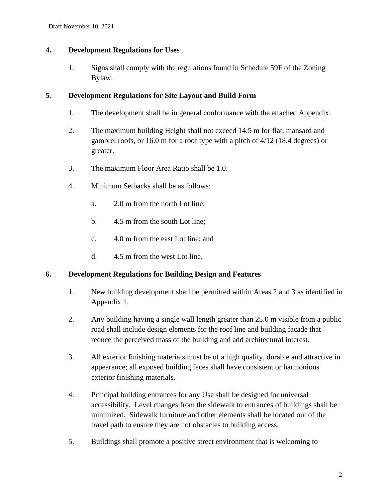# **4. Development Regulations for Uses**

1. Signs shall comply with the regulations found in Schedule 59F of the Zoning Bylaw.

#### **5. Development Regulations for Site Layout and Build Form**

- 1. The development shall be in general conformance with the attached Appendix.
- 2. The maximum building Height shall not exceed 14.5 m for flat, mansard and gambrel roofs, or 16.0 m for a roof type with a pitch of 4/12 (18.4 degrees) or greater.
- 3. The maximum Floor Area Ratio shall be 1.0.
- 4. Minimum Setbacks shall be as follows:
	- a. 2.0 m from the north Lot line;
	- b. 4.5 m from the south Lot line;
	- c. 4.0 m from the east Lot line; and
	- d. 4.5 m from the west Lot line.

# **6. Development Regulations for Building Design and Features**

- 1. New building development shall be permitted within Areas 2 and 3 as identified in Appendix 1.
- 2. Any building having a single wall length greater than 25.0 m visible from a public road shall include design elements for the roof line and building façade that reduce the perceived mass of the building and add architectural interest.
- 3. All exterior finishing materials must be of a high quality, durable and attractive in appearance; all exposed building faces shall have consistent or harmonious exterior finishing materials.
- 4. Principal building entrances for any Use shall be designed for universal accessibility. Level changes from the sidewalk to entrances of buildings shall be minimized. Sidewalk furniture and other elements shall be located out of the travel path to ensure they are not obstacles to building access.
- 5. Buildings shall promote a positive street environment that is welcoming to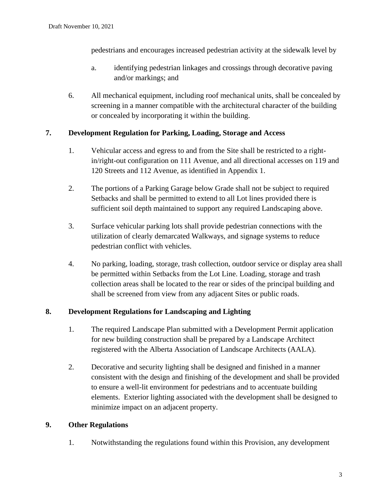pedestrians and encourages increased pedestrian activity at the sidewalk level by

- a. identifying pedestrian linkages and crossings through decorative paving and/or markings; and
- 6. All mechanical equipment, including roof mechanical units, shall be concealed by screening in a manner compatible with the architectural character of the building or concealed by incorporating it within the building.

# **7. Development Regulation for Parking, Loading, Storage and Access**

- 1. Vehicular access and egress to and from the Site shall be restricted to a rightin/right-out configuration on 111 Avenue, and all directional accesses on 119 and 120 Streets and 112 Avenue, as identified in Appendix 1.
- 2. The portions of a Parking Garage below Grade shall not be subject to required Setbacks and shall be permitted to extend to all Lot lines provided there is sufficient soil depth maintained to support any required Landscaping above.
- 3. Surface vehicular parking lots shall provide pedestrian connections with the utilization of clearly demarcated Walkways, and signage systems to reduce pedestrian conflict with vehicles.
- 4. No parking, loading, storage, trash collection, outdoor service or display area shall be permitted within Setbacks from the Lot Line. Loading, storage and trash collection areas shall be located to the rear or sides of the principal building and shall be screened from view from any adjacent Sites or public roads.

# **8. Development Regulations for Landscaping and Lighting**

- 1. The required Landscape Plan submitted with a Development Permit application for new building construction shall be prepared by a Landscape Architect registered with the Alberta Association of Landscape Architects (AALA).
- 2. Decorative and security lighting shall be designed and finished in a manner consistent with the design and finishing of the development and shall be provided to ensure a well-lit environment for pedestrians and to accentuate building elements. Exterior lighting associated with the development shall be designed to minimize impact on an adjacent property.

# **9. Other Regulations**

1. Notwithstanding the regulations found within this Provision, any development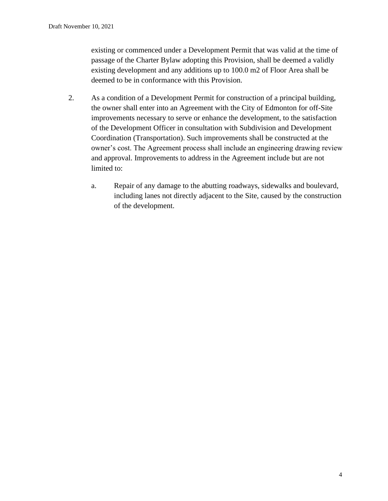existing or commenced under a Development Permit that was valid at the time of passage of the Charter Bylaw adopting this Provision, shall be deemed a validly existing development and any additions up to 100.0 m2 of Floor Area shall be deemed to be in conformance with this Provision.

- 2. As a condition of a Development Permit for construction of a principal building, the owner shall enter into an Agreement with the City of Edmonton for off-Site improvements necessary to serve or enhance the development, to the satisfaction of the Development Officer in consultation with Subdivision and Development Coordination (Transportation). Such improvements shall be constructed at the owner's cost. The Agreement process shall include an engineering drawing review and approval. Improvements to address in the Agreement include but are not limited to:
	- a. Repair of any damage to the abutting roadways, sidewalks and boulevard, including lanes not directly adjacent to the Site, caused by the construction of the development.